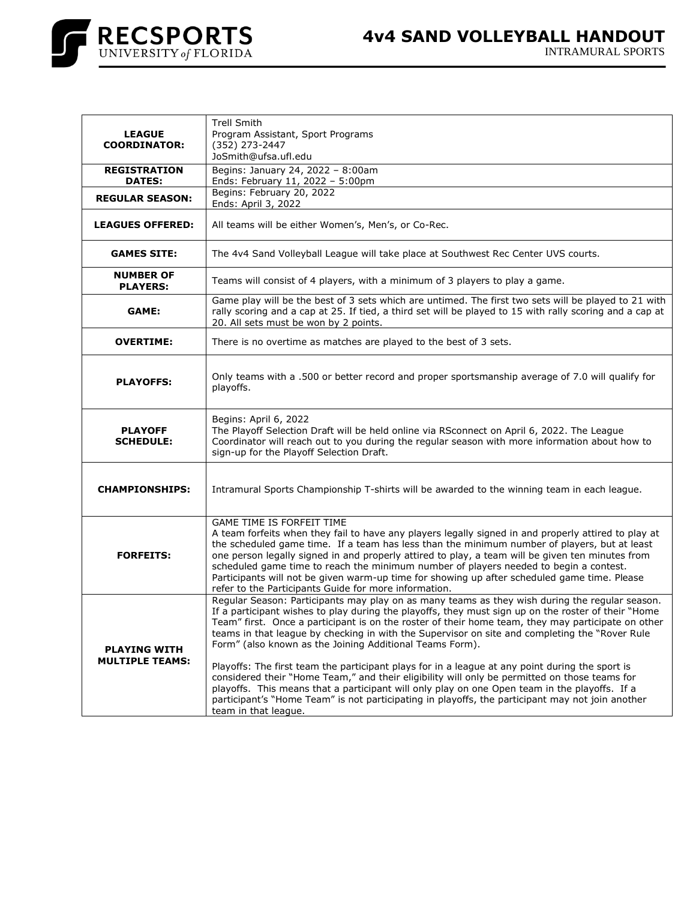

| <b>LEAGUE</b><br><b>COORDINATOR:</b>          | <b>Trell Smith</b><br>Program Assistant, Sport Programs<br>(352) 273-2447<br>JoSmith@ufsa.ufl.edu                                                                                                                                                                                                                                                                                                                                                                                                                                                                                                                                                                                                                                                                                                                                                                                                           |
|-----------------------------------------------|-------------------------------------------------------------------------------------------------------------------------------------------------------------------------------------------------------------------------------------------------------------------------------------------------------------------------------------------------------------------------------------------------------------------------------------------------------------------------------------------------------------------------------------------------------------------------------------------------------------------------------------------------------------------------------------------------------------------------------------------------------------------------------------------------------------------------------------------------------------------------------------------------------------|
| <b>REGISTRATION</b><br><b>DATES:</b>          | Begins: January 24, 2022 - 8:00am<br>Ends: February 11, 2022 - 5:00pm                                                                                                                                                                                                                                                                                                                                                                                                                                                                                                                                                                                                                                                                                                                                                                                                                                       |
| <b>REGULAR SEASON:</b>                        | Begins: February 20, 2022<br>Ends: April 3, 2022                                                                                                                                                                                                                                                                                                                                                                                                                                                                                                                                                                                                                                                                                                                                                                                                                                                            |
| <b>LEAGUES OFFERED:</b>                       | All teams will be either Women's, Men's, or Co-Rec.                                                                                                                                                                                                                                                                                                                                                                                                                                                                                                                                                                                                                                                                                                                                                                                                                                                         |
| <b>GAMES SITE:</b>                            | The 4v4 Sand Volleyball League will take place at Southwest Rec Center UVS courts.                                                                                                                                                                                                                                                                                                                                                                                                                                                                                                                                                                                                                                                                                                                                                                                                                          |
| <b>NUMBER OF</b><br><b>PLAYERS:</b>           | Teams will consist of 4 players, with a minimum of 3 players to play a game.                                                                                                                                                                                                                                                                                                                                                                                                                                                                                                                                                                                                                                                                                                                                                                                                                                |
| GAME:                                         | Game play will be the best of 3 sets which are untimed. The first two sets will be played to 21 with<br>rally scoring and a cap at 25. If tied, a third set will be played to 15 with rally scoring and a cap at<br>20. All sets must be won by 2 points.                                                                                                                                                                                                                                                                                                                                                                                                                                                                                                                                                                                                                                                   |
| <b>OVERTIME:</b>                              | There is no overtime as matches are played to the best of 3 sets.                                                                                                                                                                                                                                                                                                                                                                                                                                                                                                                                                                                                                                                                                                                                                                                                                                           |
| <b>PLAYOFFS:</b>                              | Only teams with a .500 or better record and proper sportsmanship average of 7.0 will qualify for<br>playoffs.                                                                                                                                                                                                                                                                                                                                                                                                                                                                                                                                                                                                                                                                                                                                                                                               |
| <b>PLAYOFF</b><br><b>SCHEDULE:</b>            | Begins: April 6, 2022<br>The Playoff Selection Draft will be held online via RSconnect on April 6, 2022. The League<br>Coordinator will reach out to you during the regular season with more information about how to<br>sign-up for the Playoff Selection Draft.                                                                                                                                                                                                                                                                                                                                                                                                                                                                                                                                                                                                                                           |
| <b>CHAMPIONSHIPS:</b>                         | Intramural Sports Championship T-shirts will be awarded to the winning team in each league.                                                                                                                                                                                                                                                                                                                                                                                                                                                                                                                                                                                                                                                                                                                                                                                                                 |
| <b>FORFEITS:</b>                              | <b>GAME TIME IS FORFEIT TIME</b><br>A team forfeits when they fail to have any players legally signed in and properly attired to play at<br>the scheduled game time. If a team has less than the minimum number of players, but at least<br>one person legally signed in and properly attired to play, a team will be given ten minutes from<br>scheduled game time to reach the minimum number of players needed to begin a contest.<br>Participants will not be given warm-up time for showing up after scheduled game time. Please<br>refer to the Participants Guide for more information.                                                                                                                                                                                                                                                                                                              |
| <b>PLAYING WITH</b><br><b>MULTIPLE TEAMS:</b> | Regular Season: Participants may play on as many teams as they wish during the regular season.<br>If a participant wishes to play during the playoffs, they must sign up on the roster of their "Home<br>Team" first. Once a participant is on the roster of their home team, they may participate on other<br>teams in that league by checking in with the Supervisor on site and completing the "Rover Rule"<br>Form" (also known as the Joining Additional Teams Form).<br>Playoffs: The first team the participant plays for in a league at any point during the sport is<br>considered their "Home Team," and their eligibility will only be permitted on those teams for<br>playoffs. This means that a participant will only play on one Open team in the playoffs. If a<br>participant's "Home Team" is not participating in playoffs, the participant may not join another<br>team in that league. |